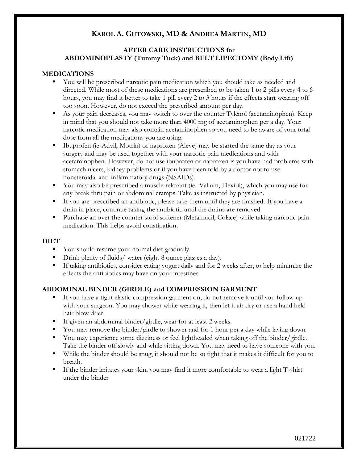# **KAROL A. GUTOWSKI, MD & ANDREA MARTIN, MD**

## **AFTER CARE INSTRUCTIONS for ABDOMINOPLASTY (Tummy Tuck) and BELT LIPECTOMY (Body Lift)**

#### **MEDICATIONS**

- You will be prescribed narcotic pain medication which you should take as needed and directed. While most of these medications are prescribed to be taken 1 to 2 pills every 4 to 6 hours, you may find it better to take 1 pill every 2 to 3 hours if the effects start wearing off too soon. However, do not exceed the prescribed amount per day.
- As your pain decreases, you may switch to over the counter Tylenol (acetaminophen). Keep in mind that you should not take more than 4000 mg of acetaminophen per a day. Your narcotic medication may also contain acetaminophen so you need to be aware of your total dose from all the medications you are using.
- Ibuprofen (ie-Advil, Motrin) or naproxen (Aleve) may be started the same day as your surgery and may be used together with your narcotic pain medications and with acetaminophen. However, do not use ibuprofen or naproxen is you have had problems with stomach ulcers, kidney problems or if you have been told by a doctor not to use nonsteroidal anti-inflammatory drugs (NSAIDs).
- You may also be prescribed a muscle relaxant (ie-Valium, Flexiril), which you may use for any break thru pain or abdominal cramps. Take as instructed by physician.
- If you are prescribed an antibiotic, please take them until they are finished. If you have a drain in place, continue taking the antibiotic until the drains are removed.
- Purchase an over the counter stool softener (Metamucil, Colace) while taking narcotic pain medication. This helps avoid constipation.

#### **DIET**

- You should resume your normal diet gradually.
- **•** Drink plenty of fluids/ water (eight 8 ounce glasses a day).
- If taking antibiotics, consider eating yogurt daily and for 2 weeks after, to help minimize the effects the antibiotics may have on your intestines.

#### **ABDOMINAL BINDER (GIRDLE) and COMPRESSION GARMENT**

- If you have a tight elastic compression garment on, do not remove it until you follow up with your surgeon. You may shower while wearing it, then let it air dry or use a hand held hair blow drier.
- If given an abdominal binder/girdle, wear for at least 2 weeks.
- You may remove the binder/girdle to shower and for 1 hour per a day while laying down.
- You may experience some dizziness or feel lightheaded when taking off the binder/girdle. Take the binder off slowly and while sitting down. You may need to have someone with you.
- While the binder should be snug, it should not be so tight that it makes it difficult for you to breath.
- If the binder irritates your skin, you may find it more comfortable to wear a light T-shirt under the binder